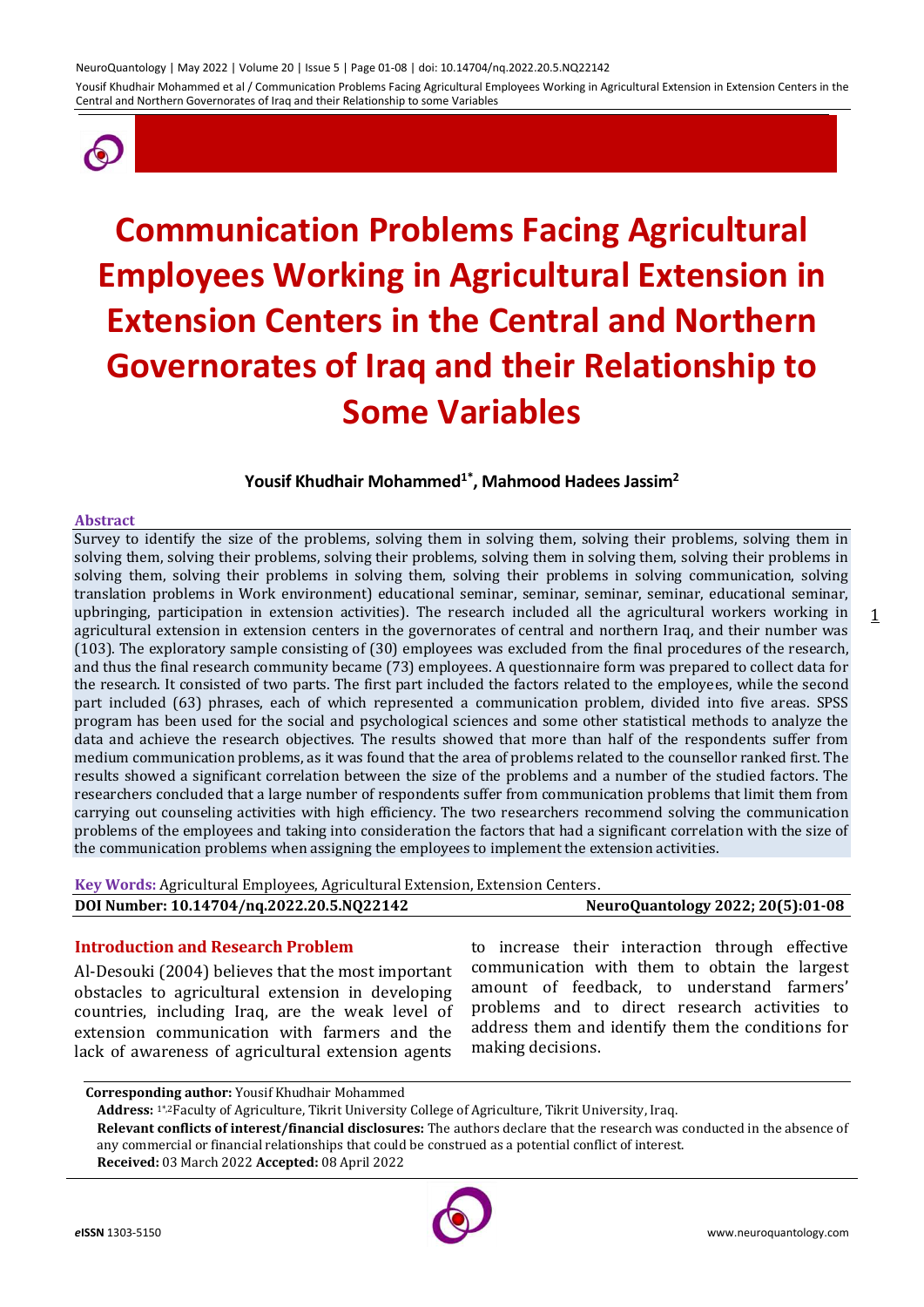

# **Communication Problems Facing Agricultural Employees Working in Agricultural Extension in Extension Centers in the Central and Northern Governorates of Iraq and their Relationship to Some Variables**

## **Yousif Khudhair Mohammed1\* , Mahmood Hadees Jassim<sup>2</sup>**

#### **Abstract**

Survey to identify the size of the problems, solving them in solving them, solving their problems, solving them in solving them, solving their problems, solving their problems, solving them in solving them, solving their problems in solving them, solving their problems in solving them, solving their problems in solving communication, solving translation problems in Work environment) educational seminar, seminar, seminar, seminar, educational seminar, upbringing, participation in extension activities). The research included all the agricultural workers working in agricultural extension in extension centers in the governorates of central and northern Iraq, and their number was (103). The exploratory sample consisting of (30) employees was excluded from the final procedures of the research, and thus the final research community became (73) employees. A questionnaire form was prepared to collect data for the research. It consisted of two parts. The first part included the factors related to the employees, while the second part included (63) phrases, each of which represented a communication problem, divided into five areas. SPSS program has been used for the social and psychological sciences and some other statistical methods to analyze the data and achieve the research objectives. The results showed that more than half of the respondents suffer from medium communication problems, as it was found that the area of problems related to the counsellor ranked first. The results showed a significant correlation between the size of the problems and a number of the studied factors. The researchers concluded that a large number of respondents suffer from communication problems that limit them from carrying out counseling activities with high efficiency. The two researchers recommend solving the communication problems of the employees and taking into consideration the factors that had a significant correlation with the size of the communication problems when assigning the employees to implement the extension activities.

**Key Words:** Agricultural Employees, Agricultural Extension, Extension Centers.

|--|

#### **Introduction and Research Problem**

Al-Desouki (2004) believes that the most important obstacles to agricultural extension in developing countries, including Iraq, are the weak level of extension communication with farmers and the lack of awareness of agricultural extension agents

to increase their interaction through effective communication with them to obtain the largest amount of feedback, to understand farmers' problems and to direct research activities to address them and identify them the conditions for making decisions.

#### **Corresponding author:** Yousif Khudhair Mohammed

**Address:** 1\*,2Faculty of Agriculture, Tikrit University College of Agriculture, Tikrit University, Iraq.

**Relevant conflicts of interest/financial disclosures:** The authors declare that the research was conducted in the absence of any commercial or financial relationships that could be construed as a potential conflict of interest.

**Received:** 03 March 2022 **Accepted:** 08 April 2022

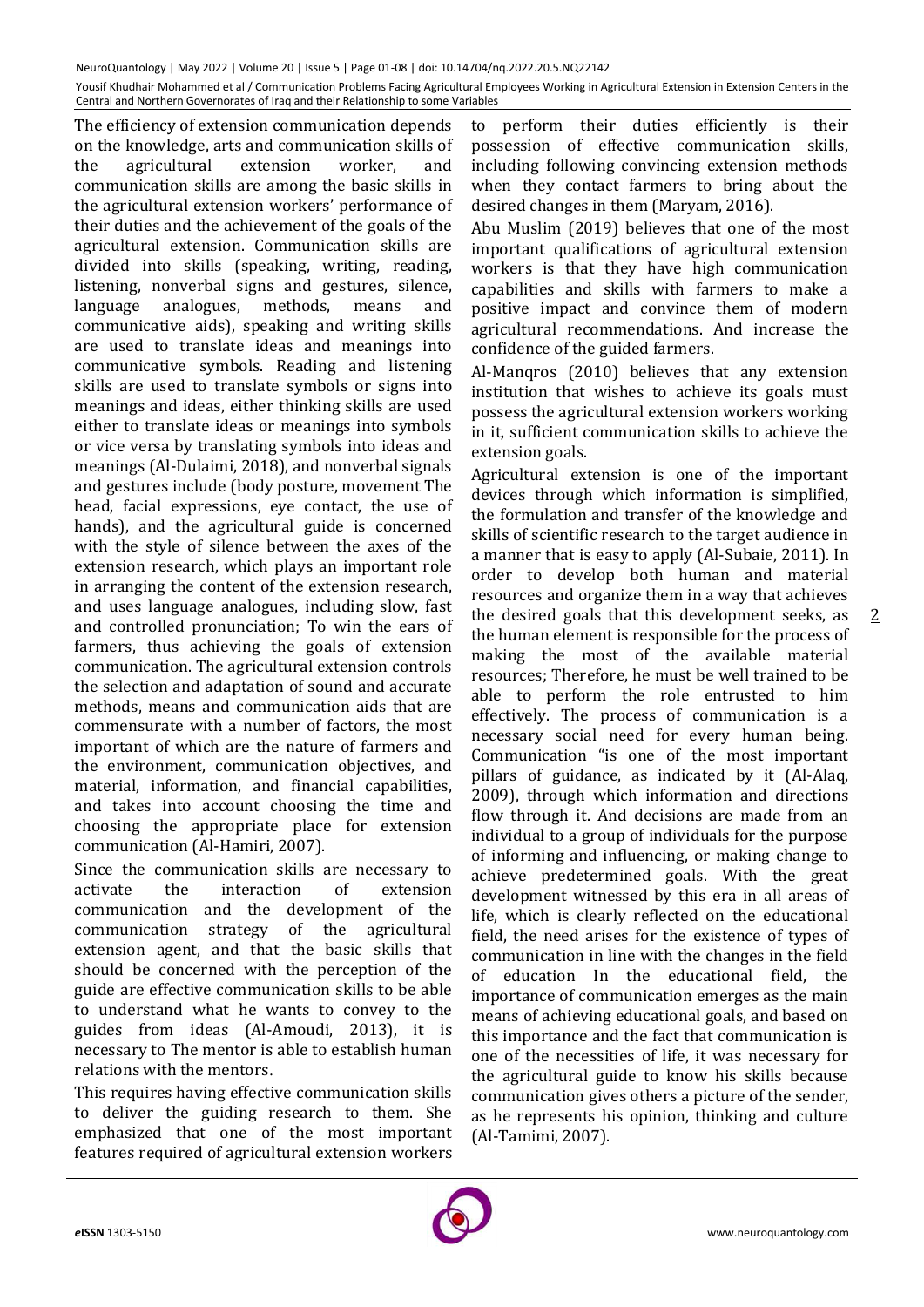The efficiency of extension communication depends on the knowledge, arts and communication skills of the agricultural extension worker, and communication skills are among the basic skills in the agricultural extension workers' performance of their duties and the achievement of the goals of the agricultural extension. Communication skills are divided into skills (speaking, writing, reading, listening, nonverbal signs and gestures, silence, language analogues, methods, means and communicative aids), speaking and writing skills are used to translate ideas and meanings into communicative symbols. Reading and listening skills are used to translate symbols or signs into meanings and ideas, either thinking skills are used either to translate ideas or meanings into symbols or vice versa by translating symbols into ideas and meanings (Al-Dulaimi, 2018), and nonverbal signals and gestures include (body posture, movement The head, facial expressions, eye contact, the use of hands), and the agricultural guide is concerned with the style of silence between the axes of the extension research, which plays an important role in arranging the content of the extension research, and uses language analogues, including slow, fast and controlled pronunciation; To win the ears of farmers, thus achieving the goals of extension communication. The agricultural extension controls the selection and adaptation of sound and accurate methods, means and communication aids that are commensurate with a number of factors, the most important of which are the nature of farmers and the environment, communication objectives, and material, information, and financial capabilities, and takes into account choosing the time and choosing the appropriate place for extension communication (Al-Hamiri, 2007).

Since the communication skills are necessary to activate the interaction of extension communication and the development of the communication strategy of the agricultural extension agent, and that the basic skills that should be concerned with the perception of the guide are effective communication skills to be able to understand what he wants to convey to the guides from ideas (Al-Amoudi, 2013), it is necessary to The mentor is able to establish human relations with the mentors.

This requires having effective communication skills to deliver the guiding research to them. She emphasized that one of the most important features required of agricultural extension workers

to perform their duties efficiently is their possession of effective communication skills, including following convincing extension methods when they contact farmers to bring about the desired changes in them (Maryam, 2016).

Abu Muslim (2019) believes that one of the most important qualifications of agricultural extension workers is that they have high communication capabilities and skills with farmers to make a positive impact and convince them of modern agricultural recommendations. And increase the confidence of the guided farmers.

Al-Manqros (2010) believes that any extension institution that wishes to achieve its goals must possess the agricultural extension workers working in it, sufficient communication skills to achieve the extension goals.

Agricultural extension is one of the important devices through which information is simplified, the formulation and transfer of the knowledge and skills of scientific research to the target audience in a manner that is easy to apply (Al-Subaie, 2011). In order to develop both human and material resources and organize them in a way that achieves the desired goals that this development seeks, as the human element is responsible for the process of making the most of the available material resources; Therefore, he must be well trained to be able to perform the role entrusted to him effectively. The process of communication is a necessary social need for every human being. Communication "is one of the most important pillars of guidance, as indicated by it (Al-Alaq, 2009), through which information and directions flow through it. And decisions are made from an individual to a group of individuals for the purpose of informing and influencing, or making change to achieve predetermined goals. With the great development witnessed by this era in all areas of life, which is clearly reflected on the educational field, the need arises for the existence of types of communication in line with the changes in the field of education In the educational field, the importance of communication emerges as the main means of achieving educational goals, and based on this importance and the fact that communication is one of the necessities of life, it was necessary for the agricultural guide to know his skills because communication gives others a picture of the sender, as he represents his opinion, thinking and culture (Al-Tamimi, 2007).



2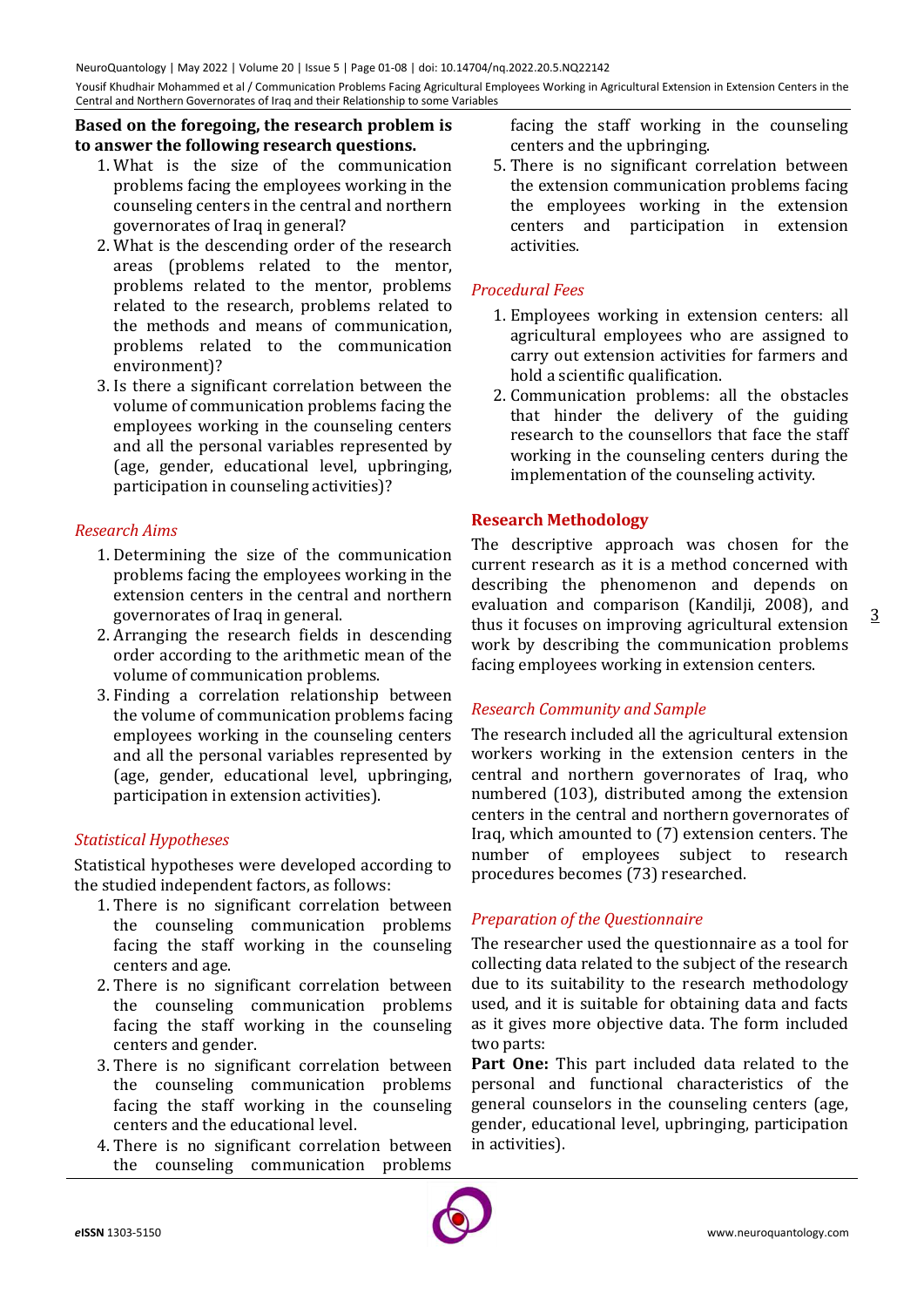### **Based on the foregoing, the research problem is to answer the following research questions.**

- 1. What is the size of the communication problems facing the employees working in the counseling centers in the central and northern governorates of Iraq in general?
- 2. What is the descending order of the research areas (problems related to the mentor, problems related to the mentor, problems related to the research, problems related to the methods and means of communication, problems related to the communication environment)?
- 3. Is there a significant correlation between the volume of communication problems facing the employees working in the counseling centers and all the personal variables represented by (age, gender, educational level, upbringing, participation in counseling activities)?

# *Research Aims*

- 1. Determining the size of the communication problems facing the employees working in the extension centers in the central and northern governorates of Iraq in general.
- 2. Arranging the research fields in descending order according to the arithmetic mean of the volume of communication problems.
- 3. Finding a correlation relationship between the volume of communication problems facing employees working in the counseling centers and all the personal variables represented by (age, gender, educational level, upbringing, participation in extension activities).

# *Statistical Hypotheses*

Statistical hypotheses were developed according to the studied independent factors, as follows:

- 1. There is no significant correlation between the counseling communication problems facing the staff working in the counseling centers and age.
- 2. There is no significant correlation between the counseling communication problems facing the staff working in the counseling centers and gender.
- 3. There is no significant correlation between the counseling communication problems facing the staff working in the counseling centers and the educational level.
- 4. There is no significant correlation between the counseling communication problems

facing the staff working in the counseling centers and the upbringing.

5. There is no significant correlation between the extension communication problems facing the employees working in the extension centers and participation in extension activities.

## *Procedural Fees*

- 1. Employees working in extension centers: all agricultural employees who are assigned to carry out extension activities for farmers and hold a scientific qualification.
- 2. Communication problems: all the obstacles that hinder the delivery of the guiding research to the counsellors that face the staff working in the counseling centers during the implementation of the counseling activity.

## **Research Methodology**

The descriptive approach was chosen for the current research as it is a method concerned with describing the phenomenon and depends on evaluation and comparison (Kandilii, 2008), and thus it focuses on improving agricultural extension work by describing the communication problems facing employees working in extension centers.

# *Research Community and Sample*

The research included all the agricultural extension workers working in the extension centers in the central and northern governorates of Iraq, who numbered (103), distributed among the extension centers in the central and northern governorates of Iraq, which amounted to (7) extension centers. The number of employees subject to research procedures becomes (73) researched.

### *Preparation of the Questionnaire*

The researcher used the questionnaire as a tool for collecting data related to the subject of the research due to its suitability to the research methodology used, and it is suitable for obtaining data and facts as it gives more objective data. The form included two parts:

**Part One:** This part included data related to the personal and functional characteristics of the general counselors in the counseling centers (age, gender, educational level, upbringing, participation in activities).

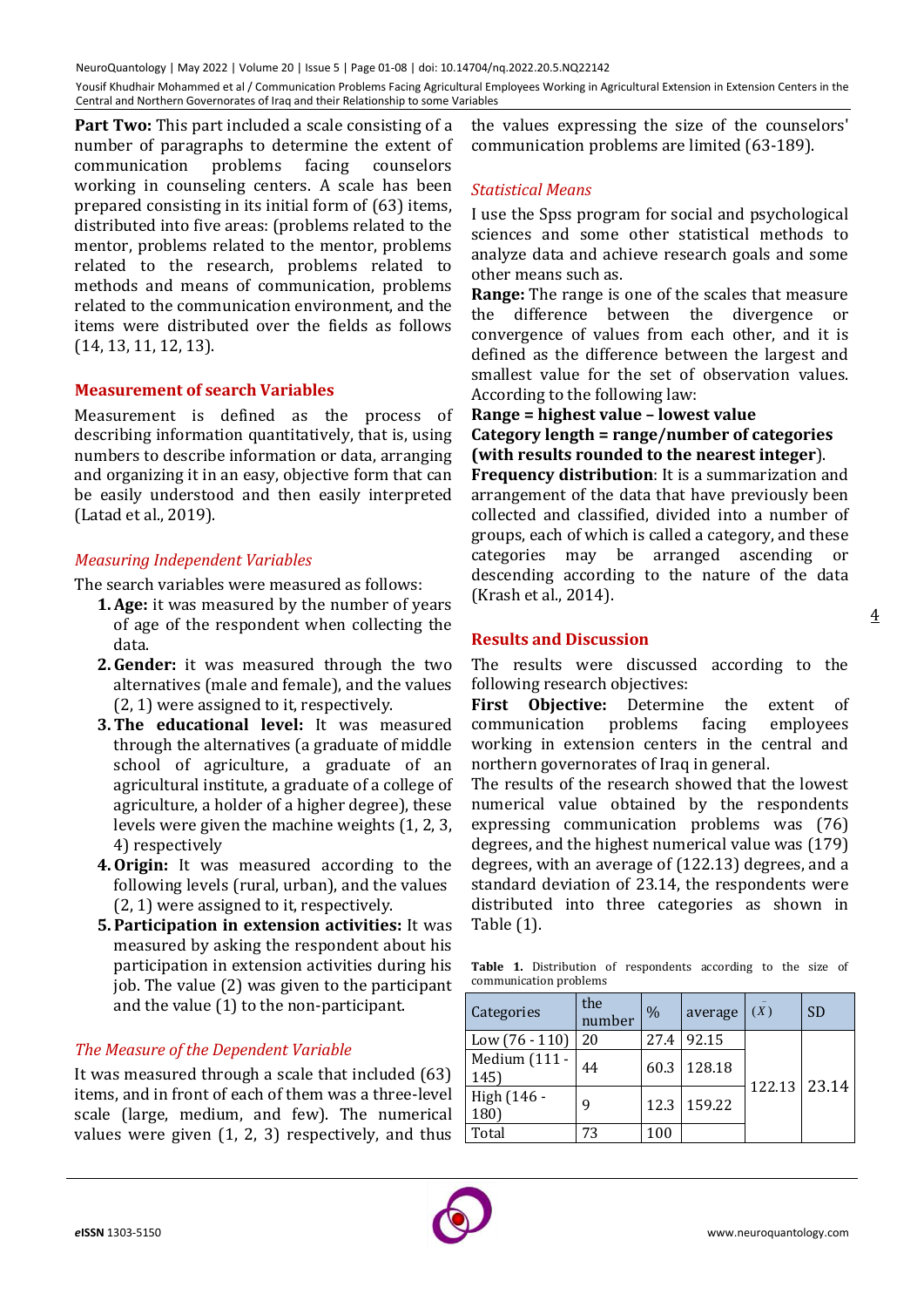**Part Two:** This part included a scale consisting of a number of paragraphs to determine the extent of communication problems facing counselors working in counseling centers. A scale has been prepared consisting in its initial form of (63) items, distributed into five areas: (problems related to the mentor, problems related to the mentor, problems related to the research, problems related to methods and means of communication, problems related to the communication environment, and the items were distributed over the fields as follows (14, 13, 11, 12, 13).

### **Measurement of search Variables**

Measurement is defined as the process of describing information quantitatively, that is, using numbers to describe information or data, arranging and organizing it in an easy, objective form that can be easily understood and then easily interpreted (Latad et al., 2019).

#### *Measuring Independent Variables*

The search variables were measured as follows:

- **1.Age:** it was measured by the number of years of age of the respondent when collecting the data.
- **2.Gender:** it was measured through the two alternatives (male and female), and the values (2, 1) were assigned to it, respectively.
- **3.The educational level:** It was measured through the alternatives (a graduate of middle school of agriculture, a graduate of an agricultural institute, a graduate of a college of agriculture, a holder of a higher degree), these levels were given the machine weights (1, 2, 3, 4) respectively
- **4.Origin:** It was measured according to the following levels (rural, urban), and the values (2, 1) were assigned to it, respectively.
- **5. Participation in extension activities:** It was measured by asking the respondent about his participation in extension activities during his job. The value (2) was given to the participant and the value (1) to the non-participant.

### *The Measure of the Dependent Variable*

It was measured through a scale that included (63) items, and in front of each of them was a three-level scale (large, medium, and few). The numerical values were given  $(1, 2, 3)$  respectively, and thus  $\lfloor$ 

the values expressing the size of the counselors' communication problems are limited (63-189).

#### *Statistical Means*

I use the Spss program for social and psychological sciences and some other statistical methods to analyze data and achieve research goals and some other means such as.

**Range:** The range is one of the scales that measure the difference between the divergence or convergence of values from each other, and it is defined as the difference between the largest and smallest value for the set of observation values. According to the following law:

**Range = highest value – lowest value Category length = range/number of categories (with results rounded to the nearest integer**).

**Frequency distribution**: It is a summarization and arrangement of the data that have previously been collected and classified, divided into a number of groups, each of which is called a category, and these categories may be arranged ascending or descending according to the nature of the data (Krash et al., 2014).

### **Results and Discussion**

The results were discussed according to the following research objectives:

**First Objective:** Determine the extent of communication problems facing employees working in extension centers in the central and northern governorates of Iraq in general.

The results of the research showed that the lowest numerical value obtained by the respondents expressing communication problems was (76) degrees, and the highest numerical value was (179) degrees, with an average of (122.13) degrees, and a standard deviation of 23.14, the respondents were distributed into three categories as shown in Table (1).

**Table 1.** Distribution of respondents according to the size of communication problems

| Categories            | the<br>number | $\frac{0}{0}$ | average     | (X)          | <b>SD</b> |
|-----------------------|---------------|---------------|-------------|--------------|-----------|
| Low $(76 - 110)$      | 20            | 27.4          | 92.15       |              |           |
| Medium (111 -<br>145) | 44            |               | 60.3 128.18 | 122.13 23.14 |           |
| High (146 -<br>180)   | q             |               | 12.3 159.22 |              |           |
| Total                 | 73            | 100           |             |              |           |

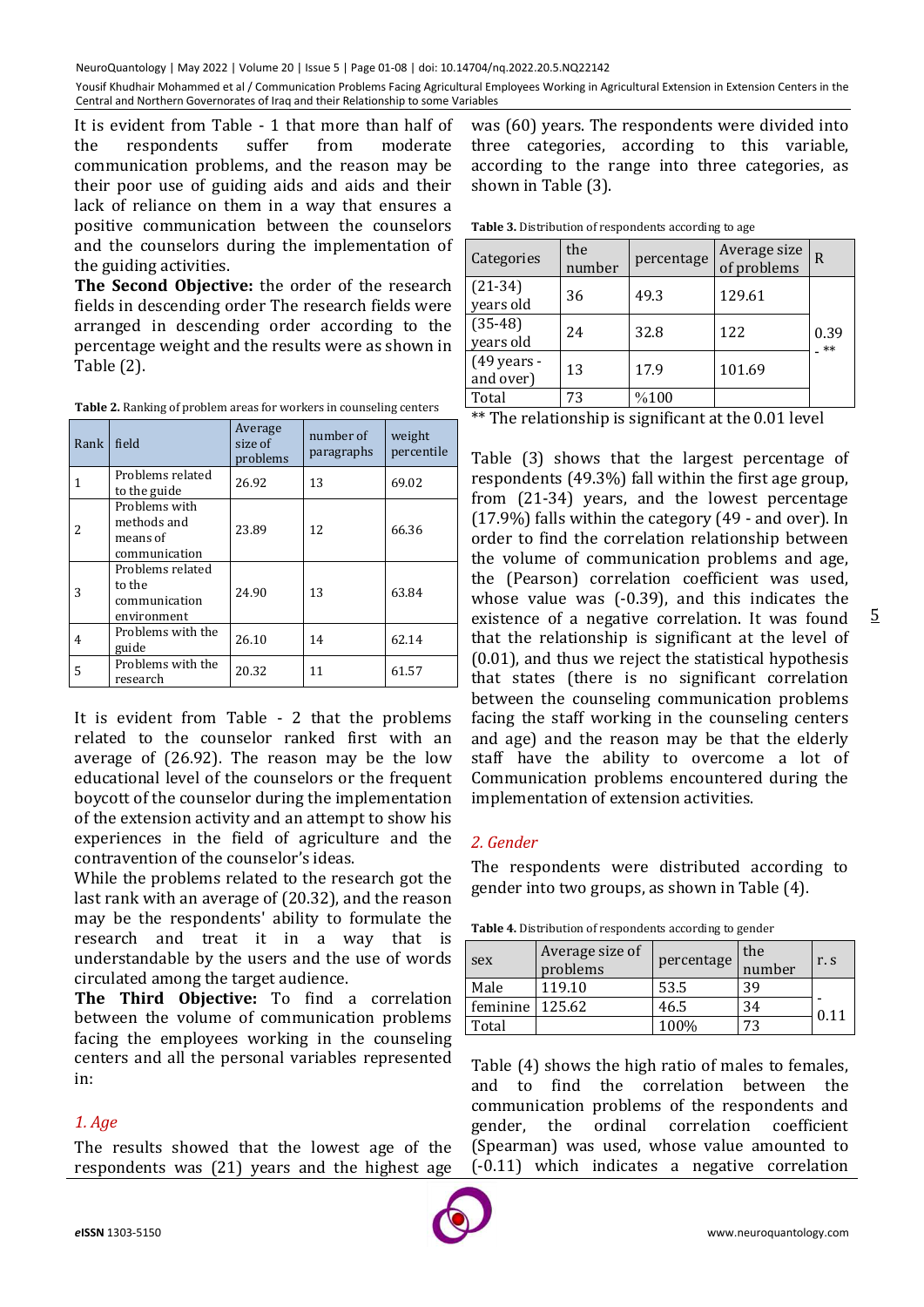It is evident from Table - 1 that more than half of the respondents suffer from moderate communication problems, and the reason may be their poor use of guiding aids and aids and their lack of reliance on them in a way that ensures a positive communication between the counselors and the counselors during the implementation of the guiding activities.

**The Second Objective:** the order of the research fields in descending order The research fields were arranged in descending order according to the percentage weight and the results were as shown in Table (2).

**Table 2.** Ranking of problem areas for workers in counseling centers

| Rank | field                                                      | Average<br>size of<br>problems | number of<br>paragraphs | weight<br>percentile |
|------|------------------------------------------------------------|--------------------------------|-------------------------|----------------------|
| 1    | Problems related<br>to the guide                           | 26.92                          | 13                      | 69.02                |
| 2    | Problems with<br>methods and<br>means of<br>communication  | 23.89                          | 12                      | 66.36                |
| 3    | Problems related<br>to the<br>communication<br>environment | 24.90                          | 13                      | 63.84                |
| 4    | Problems with the<br>guide                                 | 26.10                          | 14                      | 62.14                |
| 5    | Problems with the<br>research                              | 20.32                          | 11                      | 61.57                |

It is evident from Table - 2 that the problems related to the counselor ranked first with an average of (26.92). The reason may be the low educational level of the counselors or the frequent boycott of the counselor during the implementation of the extension activity and an attempt to show his experiences in the field of agriculture and the contravention of the counselor's ideas.

While the problems related to the research got the last rank with an average of (20.32), and the reason may be the respondents' ability to formulate the research and treat it in a way that is understandable by the users and the use of words circulated among the target audience.

**The Third Objective:** To find a correlation between the volume of communication problems facing the employees working in the counseling centers and all the personal variables represented in:

# *1. Age*

The results showed that the lowest age of the respondents was (21) years and the highest age

was (60) years. The respondents were divided into three categories, according to this variable, according to the range into three categories, as shown in Table (3).

| <b>Table 3.</b> Distribution of respondents according to age |  |  |
|--------------------------------------------------------------|--|--|
|--------------------------------------------------------------|--|--|

| Categories                         | the<br>number | percentage | Average size<br>of problems | R            |
|------------------------------------|---------------|------------|-----------------------------|--------------|
| $(21-34)$<br>years old             | 36            | 49.3       | 129.61                      |              |
| $(35-48)$<br>years old             | 24            | 32.8       | 122                         | 0.39<br>_ ** |
| $(49 \text{ years} -$<br>and over) | 13            | 17.9       | 101.69                      |              |
| Total                              | 73            | %100       |                             |              |

\*\* The relationship is significant at the 0.01 level

Table (3) shows that the largest percentage of respondents (49.3%) fall within the first age group, from (21-34) years, and the lowest percentage (17.9%) falls within the category (49 - and over). In order to find the correlation relationship between the volume of communication problems and age, the (Pearson) correlation coefficient was used, whose value was (-0.39), and this indicates the existence of a negative correlation. It was found that the relationship is significant at the level of (0.01), and thus we reject the statistical hypothesis that states (there is no significant correlation between the counseling communication problems facing the staff working in the counseling centers and age) and the reason may be that the elderly staff have the ability to overcome a lot of Communication problems encountered during the implementation of extension activities.

### *2. Gender*

The respondents were distributed according to gender into two groups, as shown in Table (4).

| <b>Table 4.</b> Distribution of respondents according to gender |
|-----------------------------------------------------------------|
|                                                                 |

| sex      | Average size of<br>problems | percentage | the<br>number | r. s |
|----------|-----------------------------|------------|---------------|------|
| Male     | 119.10                      | 53.5       | 39            |      |
| feminine | 125.62                      | 46.5       | 34            | 0.11 |
| Total    |                             | 100%       | 72            |      |

Table (4) shows the high ratio of males to females, and to find the correlation between the communication problems of the respondents and gender, the ordinal correlation coefficient (Spearman) was used, whose value amounted to (-0.11) which indicates a negative correlation

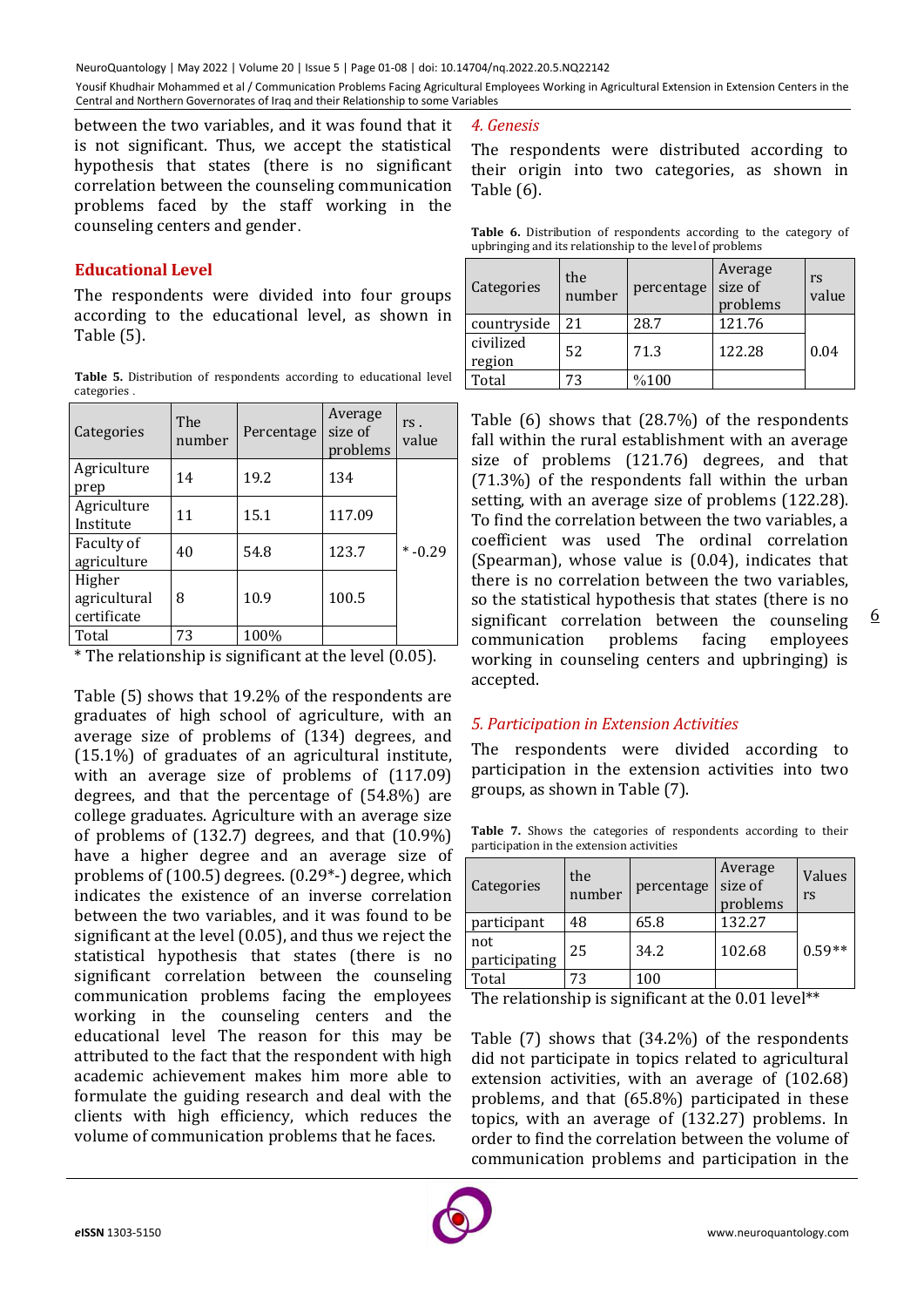NeuroQuantology | May 2022 | Volume 20 | Issue 5 | Page 01-08 | doi: 10.14704/nq.2022.20.5.NQ22142

Yousif Khudhair Mohammed et al / Communication Problems Facing Agricultural Employees Working in Agricultural Extension in Extension Centers in the Central and Northern Governorates of Iraq and their Relationship to some Variables

between the two variables, and it was found that it is not significant. Thus, we accept the statistical hypothesis that states (there is no significant correlation between the counseling communication problems faced by the staff working in the counseling centers and gender.

## **Educational Level**

The respondents were divided into four groups according to the educational level, as shown in Table (5).

**Table 5.** Distribution of respondents according to educational level categories .

| Categories                            | The<br>number | Percentage | Average<br>size of<br>problems | $rs$ .<br>value |
|---------------------------------------|---------------|------------|--------------------------------|-----------------|
| Agriculture<br>prep                   | 14            | 19.2       | 134                            |                 |
| Agriculture<br>Institute              | 11            | 15.1       | 117.09                         |                 |
| Faculty of<br>agriculture             | 40            | 54.8       | 123.7                          | $* -0.29$       |
| Higher<br>agricultural<br>certificate | 8             | 10.9       | 100.5                          |                 |
| Total                                 | 73            | 100%       |                                |                 |

\* The relationship is significant at the level (0.05).

Table (5) shows that 19.2% of the respondents are graduates of high school of agriculture, with an average size of problems of (134) degrees, and (15.1%) of graduates of an agricultural institute, with an average size of problems of (117.09) degrees, and that the percentage of (54.8%) are college graduates. Agriculture with an average size of problems of (132.7) degrees, and that (10.9%) have a higher degree and an average size of problems of (100.5) degrees. (0.29\*-) degree, which indicates the existence of an inverse correlation between the two variables, and it was found to be significant at the level (0.05), and thus we reject the statistical hypothesis that states (there is no significant correlation between the counseling communication problems facing the employees working in the counseling centers and the educational level The reason for this may be attributed to the fact that the respondent with high academic achievement makes him more able to formulate the guiding research and deal with the clients with high efficiency, which reduces the volume of communication problems that he faces.

#### *4. Genesis*

The respondents were distributed according to their origin into two categories, as shown in Table (6).

**Table 6.** Distribution of respondents according to the category of upbringing and its relationship to the level of problems

| Categories          | the<br>number | percentage | Average<br>size of<br>problems | rs<br>value |
|---------------------|---------------|------------|--------------------------------|-------------|
| countryside         | 21            | 28.7       | 121.76                         |             |
| civilized<br>region | 52            | 71.3       | 122.28                         | 0.04        |
| Total               | 73            | %100       |                                |             |

Table (6) shows that (28.7%) of the respondents fall within the rural establishment with an average size of problems (121.76) degrees, and that (71.3%) of the respondents fall within the urban setting, with an average size of problems (122.28). To find the correlation between the two variables, a coefficient was used The ordinal correlation (Spearman), whose value is (0.04), indicates that there is no correlation between the two variables, so the statistical hypothesis that states (there is no significant correlation between the counseling communication problems facing employees working in counseling centers and upbringing) is accepted.

# *5. Participation in Extension Activities*

The respondents were divided according to participation in the extension activities into two groups, as shown in Table (7).

**Table 7.** Shows the categories of respondents according to their participation in the extension activities

| Categories           | the<br>number | percentage | Average<br>size of<br>problems | Values<br>rs |
|----------------------|---------------|------------|--------------------------------|--------------|
| participant          | 48            | 65.8       | 132.27                         |              |
| not<br>participating | 25            | 34.2       | 102.68                         | $0.59**$     |
| Total                | 73            | 100        |                                |              |

The relationship is significant at the 0.01 level\*\*

Table (7) shows that (34.2%) of the respondents did not participate in topics related to agricultural extension activities, with an average of (102.68) problems, and that (65.8%) participated in these topics, with an average of (132.27) problems. In order to find the correlation between the volume of communication problems and participation in the

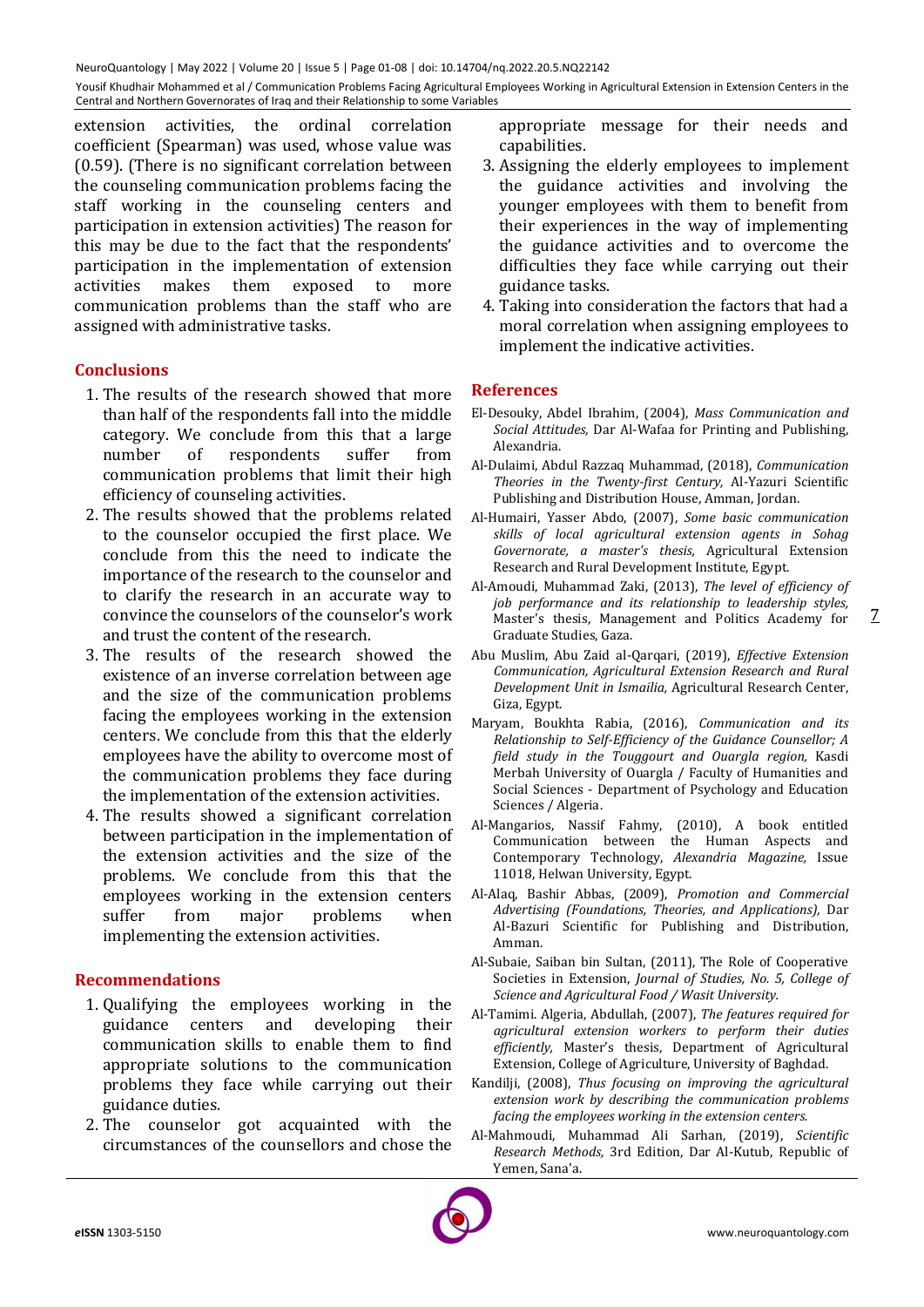extension activities, the ordinal correlation coefficient (Spearman) was used, whose value was (0.59). (There is no significant correlation between the counseling communication problems facing the staff working in the counseling centers and participation in extension activities) The reason for this may be due to the fact that the respondents' participation in the implementation of extension activities makes them exposed to more communication problems than the staff who are assigned with administrative tasks.

### **Conclusions**

- 1. The results of the research showed that more than half of the respondents fall into the middle category. We conclude from this that a large number of respondents suffer from communication problems that limit their high efficiency of counseling activities.
- 2. The results showed that the problems related to the counselor occupied the first place. We conclude from this the need to indicate the importance of the research to the counselor and to clarify the research in an accurate way to convince the counselors of the counselor's work and trust the content of the research.
- 3. The results of the research showed the existence of an inverse correlation between age and the size of the communication problems facing the employees working in the extension centers. We conclude from this that the elderly employees have the ability to overcome most of the communication problems they face during the implementation of the extension activities.
- 4. The results showed a significant correlation between participation in the implementation of the extension activities and the size of the problems. We conclude from this that the employees working in the extension centers suffer from major problems when implementing the extension activities.

### **Recommendations**

- 1. Qualifying the employees working in the guidance centers and developing their communication skills to enable them to find appropriate solutions to the communication problems they face while carrying out their guidance duties.
- 2. The counselor got acquainted with the circumstances of the counsellors and chose the

appropriate message for their needs and capabilities.

- 3. Assigning the elderly employees to implement the guidance activities and involving the younger employees with them to benefit from their experiences in the way of implementing the guidance activities and to overcome the difficulties they face while carrying out their guidance tasks.
- 4. Taking into consideration the factors that had a moral correlation when assigning employees to implement the indicative activities.

#### **References**

- El-Desouky, Abdel Ibrahim, (2004), *Mass Communication and Social Attitudes,* Dar Al-Wafaa for Printing and Publishing, Alexandria.
- Al-Dulaimi, Abdul Razzaq Muhammad, (2018), *Communication Theories in the Twenty-first Century,* Al-Yazuri Scientific Publishing and Distribution House, Amman, Jordan.
- Al-Humairi, Yasser Abdo, (2007), *Some basic communication skills of local agricultural extension agents in Sohag Governorate, a master's thesis,* Agricultural Extension Research and Rural Development Institute, Egypt.
- Al-Amoudi, Muhammad Zaki, (2013), *The level of efficiency of job performance and its relationship to leadership styles,*  Master's thesis, Management and Politics Academy for Graduate Studies, Gaza.

7

- Abu Muslim, Abu Zaid al-Qarqari, (2019), *Effective Extension Communication, Agricultural Extension Research and Rural Development Unit in Ismailia,* Agricultural Research Center, Giza, Egypt.
- Maryam, Boukhta Rabia, (2016), *Communication and its Relationship to Self-Efficiency of the Guidance Counsellor; A field study in the Touggourt and Ouargla region,* Kasdi Merbah University of Ouargla / Faculty of Humanities and Social Sciences - Department of Psychology and Education Sciences / Algeria.
- Al-Mangarios, Nassif Fahmy, (2010), A book entitled Communication between the Human Aspects and Contemporary Technology, *Alexandria Magazine,* Issue 11018, Helwan University, Egypt.
- Al-Alaq, Bashir Abbas, (2009), *Promotion and Commercial Advertising (Foundations, Theories, and Applications),* Dar Al-Bazuri Scientific for Publishing and Distribution, Amman.
- Al-Subaie, Saiban bin Sultan, (2011), The Role of Cooperative Societies in Extension, *Journal of Studies, No. 5, College of Science and Agricultural Food / Wasit University.*
- Al-Tamimi. Algeria, Abdullah, (2007), *The features required for agricultural extension workers to perform their duties efficiently,* Master's thesis, Department of Agricultural Extension, College of Agriculture, University of Baghdad.
- Kandilji, (2008), *Thus focusing on improving the agricultural extension work by describing the communication problems facing the employees working in the extension centers.*
- Al-Mahmoudi, Muhammad Ali Sarhan, (2019), *Scientific Research Methods,* 3rd Edition, Dar Al-Kutub, Republic of Yemen, Sana'a.